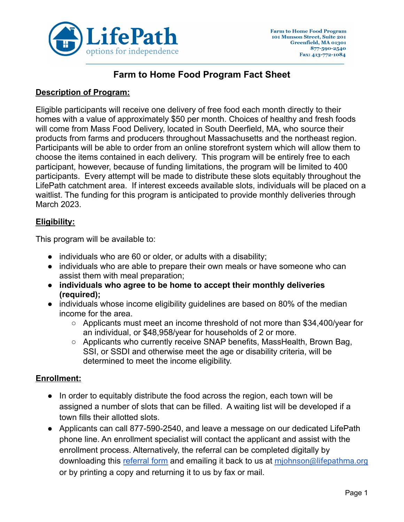

# **Farm to Home Food Program Fact Sheet**

#### **Description of Program:**

Eligible participants will receive one delivery of free food each month directly to their homes with a value of approximately \$50 per month. Choices of healthy and fresh foods will come from Mass Food Delivery, located in South Deerfield, MA, who source their products from farms and producers throughout Massachusetts and the northeast region. Participants will be able to order from an online storefront system which will allow them to choose the items contained in each delivery. This program will be entirely free to each participant, however, because of funding limitations, the program will be limited to 400 participants. Every attempt will be made to distribute these slots equitably throughout the LifePath catchment area. If interest exceeds available slots, individuals will be placed on a waitlist. The funding for this program is anticipated to provide monthly deliveries through March 2023.

### **Eligibility:**

This program will be available to:

- $\bullet$  individuals who are 60 or older, or adults with a disability;
- individuals who are able to prepare their own meals or have someone who can assist them with meal preparation;
- **● individuals who agree to be home to accept their monthly deliveries (required);**
- individuals whose income eligibility guidelines are based on 80% of the median income for the area.
	- Applicants must meet an income threshold of not more than \$34,400/year for an individual, or \$48,958/year for households of 2 or more.
	- Applicants who currently receive SNAP benefits, MassHealth, Brown Bag, SSI, or SSDI and otherwise meet the age or disability criteria, will be determined to meet the income eligibility.

### **Enrollment:**

- In order to equitably distribute the food across the region, each town will be assigned a number of slots that can be filled. A waiting list will be developed if a town fills their allotted slots.
- Applicants can call 877-590-2540, and leave a message on our dedicated LifePath phone line. An enrollment specialist will contact the applicant and assist with the enrollment process. Alternatively, the referral can be completed digitally by downloading this [referral](https://drive.google.com/file/d/1oRyewQ1rodm4gM4uecCZq5Pp0pbeR3n4/view?usp=sharing) form and emailing it back to us at [mjohnson@lifepathma.org](mailto:mjohnson@lifepathma.org) or by printing a copy and returning it to us by fax or mail.